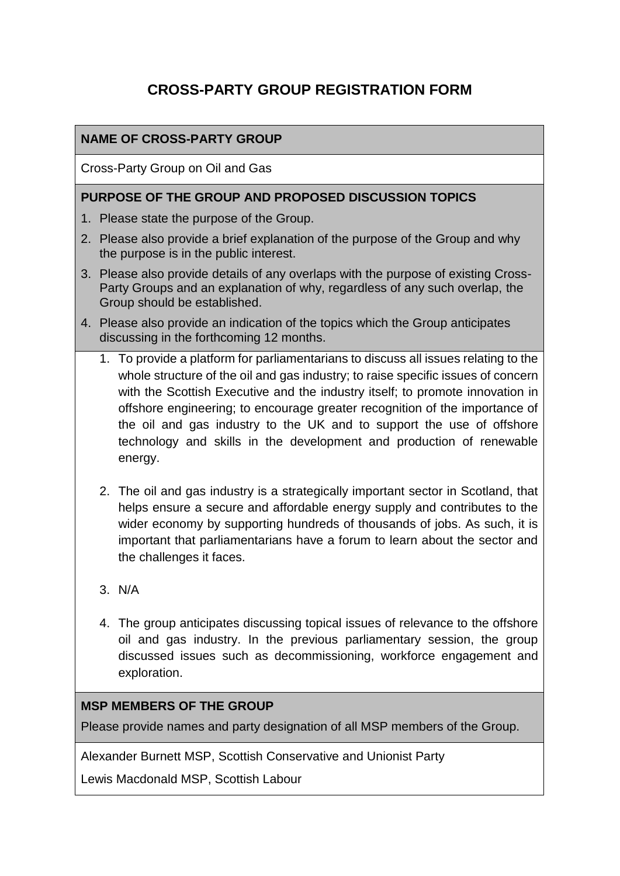# **CROSS-PARTY GROUP REGISTRATION FORM**

### **NAME OF CROSS-PARTY GROUP**

Cross-Party Group on Oil and Gas

#### **PURPOSE OF THE GROUP AND PROPOSED DISCUSSION TOPICS**

- 1. Please state the purpose of the Group.
- 2. Please also provide a brief explanation of the purpose of the Group and why the purpose is in the public interest.
- 3. Please also provide details of any overlaps with the purpose of existing Cross-Party Groups and an explanation of why, regardless of any such overlap, the Group should be established.
- 4. Please also provide an indication of the topics which the Group anticipates discussing in the forthcoming 12 months.
	- 1. To provide a platform for parliamentarians to discuss all issues relating to the whole structure of the oil and gas industry; to raise specific issues of concern with the Scottish Executive and the industry itself; to promote innovation in offshore engineering; to encourage greater recognition of the importance of the oil and gas industry to the UK and to support the use of offshore technology and skills in the development and production of renewable energy.
	- 2. The oil and gas industry is a strategically important sector in Scotland, that helps ensure a secure and affordable energy supply and contributes to the wider economy by supporting hundreds of thousands of jobs. As such, it is important that parliamentarians have a forum to learn about the sector and the challenges it faces.
	- 3. N/A
	- 4. The group anticipates discussing topical issues of relevance to the offshore oil and gas industry. In the previous parliamentary session, the group discussed issues such as decommissioning, workforce engagement and exploration.

#### **MSP MEMBERS OF THE GROUP**

Please provide names and party designation of all MSP members of the Group.

Alexander Burnett MSP, Scottish Conservative and Unionist Party

Lewis Macdonald MSP, Scottish Labour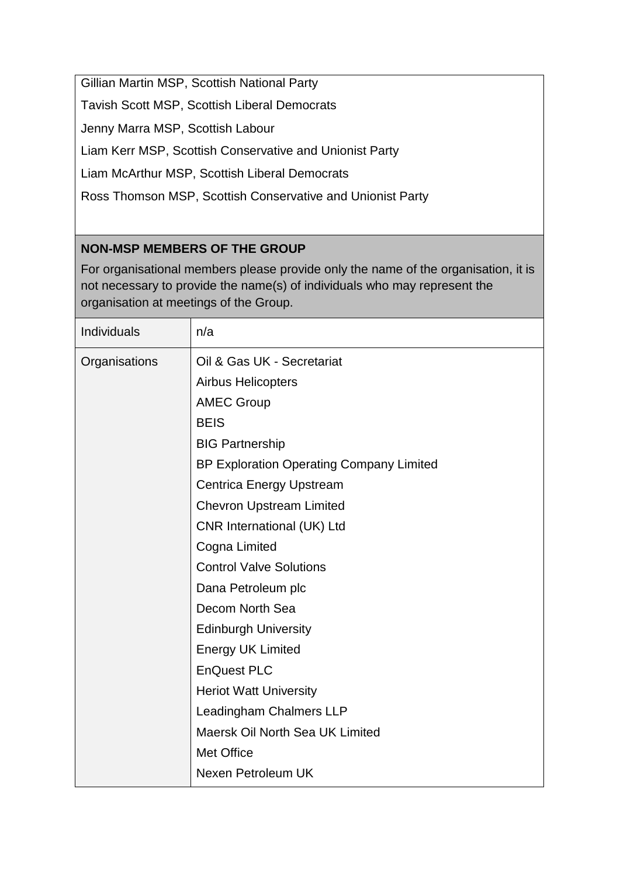Gillian Martin MSP, Scottish National Party

Tavish Scott MSP, Scottish Liberal Democrats

Jenny Marra MSP, Scottish Labour

Liam Kerr MSP, Scottish Conservative and Unionist Party

Liam McArthur MSP, Scottish Liberal Democrats

Ross Thomson MSP, Scottish Conservative and Unionist Party

## **NON-MSP MEMBERS OF THE GROUP**

For organisational members please provide only the name of the organisation, it is not necessary to provide the name(s) of individuals who may represent the organisation at meetings of the Group.

| Individuals   | n/a                                             |
|---------------|-------------------------------------------------|
| Organisations | Oil & Gas UK - Secretariat                      |
|               | <b>Airbus Helicopters</b>                       |
|               | <b>AMEC Group</b>                               |
|               | <b>BEIS</b>                                     |
|               | <b>BIG Partnership</b>                          |
|               | <b>BP Exploration Operating Company Limited</b> |
|               | <b>Centrica Energy Upstream</b>                 |
|               | <b>Chevron Upstream Limited</b>                 |
|               | <b>CNR International (UK) Ltd</b>               |
|               | Cogna Limited                                   |
|               | <b>Control Valve Solutions</b>                  |
|               | Dana Petroleum plc                              |
|               | Decom North Sea                                 |
|               | <b>Edinburgh University</b>                     |
|               | <b>Energy UK Limited</b>                        |
|               | <b>EnQuest PLC</b>                              |
|               | <b>Heriot Watt University</b>                   |
|               | Leadingham Chalmers LLP                         |
|               | Maersk Oil North Sea UK Limited                 |
|               | Met Office                                      |
|               | Nexen Petroleum UK                              |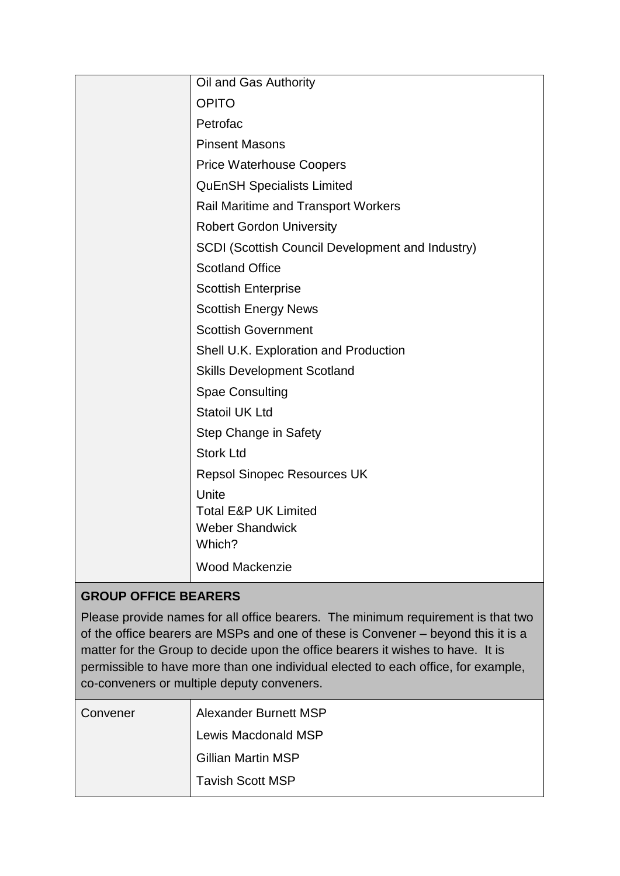| Oil and Gas Authority                                   |
|---------------------------------------------------------|
| <b>OPITO</b>                                            |
| Petrofac                                                |
| <b>Pinsent Masons</b>                                   |
| <b>Price Waterhouse Coopers</b>                         |
| <b>QuEnSH Specialists Limited</b>                       |
| <b>Rail Maritime and Transport Workers</b>              |
| <b>Robert Gordon University</b>                         |
| <b>SCDI (Scottish Council Development and Industry)</b> |
| <b>Scotland Office</b>                                  |
| <b>Scottish Enterprise</b>                              |
| <b>Scottish Energy News</b>                             |
| <b>Scottish Government</b>                              |
| Shell U.K. Exploration and Production                   |
| <b>Skills Development Scotland</b>                      |
| <b>Spae Consulting</b>                                  |
| <b>Statoil UK Ltd</b>                                   |
| Step Change in Safety                                   |
| <b>Stork Ltd</b>                                        |
| <b>Repsol Sinopec Resources UK</b>                      |
| Unite                                                   |
| <b>Total E&amp;P UK Limited</b>                         |
| <b>Weber Shandwick</b><br>Which?                        |
|                                                         |
| <b>Wood Mackenzie</b>                                   |

## **GROUP OFFICE BEARERS**

Please provide names for all office bearers. The minimum requirement is that two of the office bearers are MSPs and one of these is Convener – beyond this it is a matter for the Group to decide upon the office bearers it wishes to have. It is permissible to have more than one individual elected to each office, for example, co-conveners or multiple deputy conveners.

| Convener | Alexander Burnett MSP     |
|----------|---------------------------|
|          | Lewis Macdonald MSP       |
|          | <b>Gillian Martin MSP</b> |
|          | <b>Tavish Scott MSP</b>   |